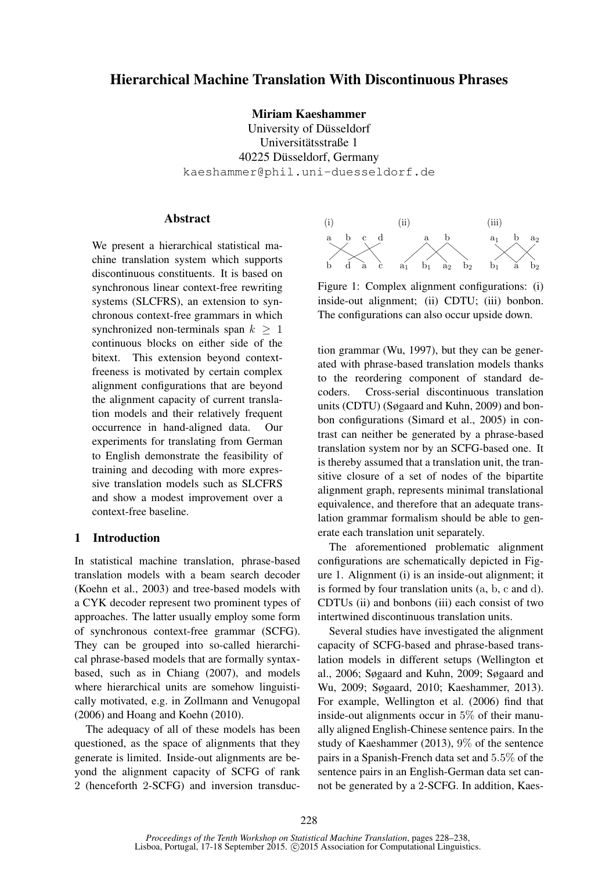# Hierarchical Machine Translation With Discontinuous Phrases

Miriam Kaeshammer

University of Düsseldorf Universitätsstraße 1 40225 Düsseldorf, Germany kaeshammer@phil.uni-duesseldorf.de

#### **Abstract**

We present a hierarchical statistical machine translation system which supports discontinuous constituents. It is based on synchronous linear context-free rewriting systems (SLCFRS), an extension to synchronous context-free grammars in which synchronized non-terminals span  $k > 1$ continuous blocks on either side of the bitext. This extension beyond contextfreeness is motivated by certain complex alignment configurations that are beyond the alignment capacity of current translation models and their relatively frequent occurrence in hand-aligned data. Our experiments for translating from German to English demonstrate the feasibility of training and decoding with more expressive translation models such as SLCFRS and show a modest improvement over a context-free baseline.

### 1 Introduction

In statistical machine translation, phrase-based translation models with a beam search decoder (Koehn et al., 2003) and tree-based models with a CYK decoder represent two prominent types of approaches. The latter usually employ some form of synchronous context-free grammar (SCFG). They can be grouped into so-called hierarchical phrase-based models that are formally syntaxbased, such as in Chiang (2007), and models where hierarchical units are somehow linguistically motivated, e.g. in Zollmann and Venugopal (2006) and Hoang and Koehn (2010).

The adequacy of all of these models has been questioned, as the space of alignments that they generate is limited. Inside-out alignments are beyond the alignment capacity of SCFG of rank 2 (henceforth 2-SCFG) and inversion transduc-



Figure 1: Complex alignment configurations: (i) inside-out alignment; (ii) CDTU; (iii) bonbon. The configurations can also occur upside down.

tion grammar (Wu, 1997), but they can be generated with phrase-based translation models thanks to the reordering component of standard decoders. Cross-serial discontinuous translation units (CDTU) (Søgaard and Kuhn, 2009) and bonbon configurations (Simard et al., 2005) in contrast can neither be generated by a phrase-based translation system nor by an SCFG-based one. It is thereby assumed that a translation unit, the transitive closure of a set of nodes of the bipartite alignment graph, represents minimal translational equivalence, and therefore that an adequate translation grammar formalism should be able to generate each translation unit separately.

The aforementioned problematic alignment configurations are schematically depicted in Figure 1. Alignment (i) is an inside-out alignment; it is formed by four translation units (a, b, c and d). CDTUs (ii) and bonbons (iii) each consist of two intertwined discontinuous translation units.

Several studies have investigated the alignment capacity of SCFG-based and phrase-based translation models in different setups (Wellington et al., 2006; Søgaard and Kuhn, 2009; Søgaard and Wu, 2009; Søgaard, 2010; Kaeshammer, 2013). For example, Wellington et al. (2006) find that inside-out alignments occur in 5% of their manually aligned English-Chinese sentence pairs. In the study of Kaeshammer (2013), 9% of the sentence pairs in a Spanish-French data set and 5.5% of the sentence pairs in an English-German data set cannot be generated by a 2-SCFG. In addition, Kaes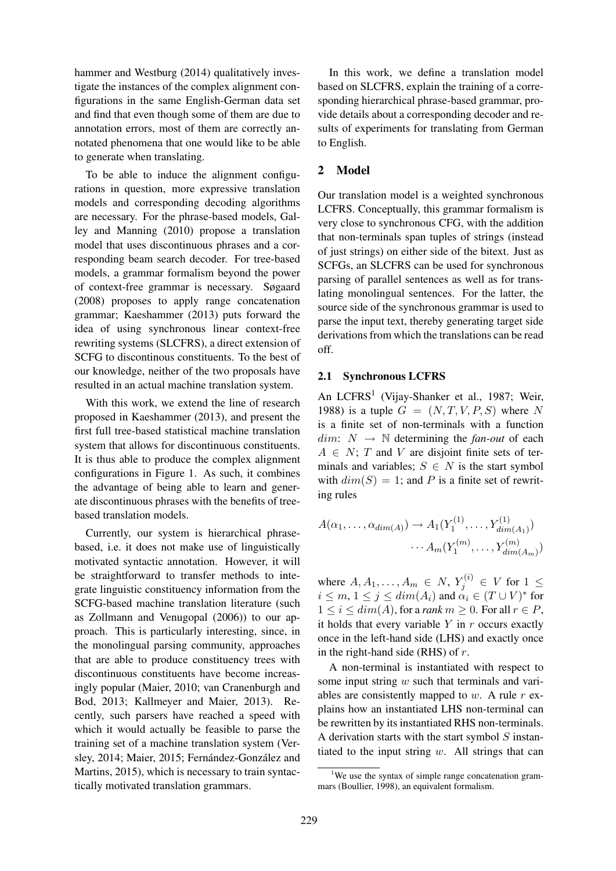hammer and Westburg (2014) qualitatively investigate the instances of the complex alignment configurations in the same English-German data set and find that even though some of them are due to annotation errors, most of them are correctly annotated phenomena that one would like to be able to generate when translating.

To be able to induce the alignment configurations in question, more expressive translation models and corresponding decoding algorithms are necessary. For the phrase-based models, Galley and Manning (2010) propose a translation model that uses discontinuous phrases and a corresponding beam search decoder. For tree-based models, a grammar formalism beyond the power of context-free grammar is necessary. Søgaard (2008) proposes to apply range concatenation grammar; Kaeshammer (2013) puts forward the idea of using synchronous linear context-free rewriting systems (SLCFRS), a direct extension of SCFG to discontinous constituents. To the best of our knowledge, neither of the two proposals have resulted in an actual machine translation system.

With this work, we extend the line of research proposed in Kaeshammer (2013), and present the first full tree-based statistical machine translation system that allows for discontinuous constituents. It is thus able to produce the complex alignment configurations in Figure 1. As such, it combines the advantage of being able to learn and generate discontinuous phrases with the benefits of treebased translation models.

Currently, our system is hierarchical phrasebased, i.e. it does not make use of linguistically motivated syntactic annotation. However, it will be straightforward to transfer methods to integrate linguistic constituency information from the SCFG-based machine translation literature (such as Zollmann and Venugopal (2006)) to our approach. This is particularly interesting, since, in the monolingual parsing community, approaches that are able to produce constituency trees with discontinuous constituents have become increasingly popular (Maier, 2010; van Cranenburgh and Bod, 2013; Kallmeyer and Maier, 2013). Recently, such parsers have reached a speed with which it would actually be feasible to parse the training set of a machine translation system (Versley, 2014; Maier, 2015; Fernández-González and Martins, 2015), which is necessary to train syntactically motivated translation grammars.

In this work, we define a translation model based on SLCFRS, explain the training of a corresponding hierarchical phrase-based grammar, provide details about a corresponding decoder and results of experiments for translating from German to English.

## 2 Model

Our translation model is a weighted synchronous LCFRS. Conceptually, this grammar formalism is very close to synchronous CFG, with the addition that non-terminals span tuples of strings (instead of just strings) on either side of the bitext. Just as SCFGs, an SLCFRS can be used for synchronous parsing of parallel sentences as well as for translating monolingual sentences. For the latter, the source side of the synchronous grammar is used to parse the input text, thereby generating target side derivations from which the translations can be read off.

#### 2.1 Synchronous LCFRS

An LCFRS<sup>1</sup> (Vijay-Shanker et al., 1987; Weir, 1988) is a tuple  $G = (N, T, V, P, S)$  where N is a finite set of non-terminals with a function  $dim: N \rightarrow \mathbb{N}$  determining the *fan-out* of each  $A \in N$ ; T and V are disjoint finite sets of terminals and variables;  $S \in N$  is the start symbol with  $dim(S) = 1$ ; and P is a finite set of rewriting rules

$$
A(\alpha_1, ..., \alpha_{dim(A)}) \to A_1(Y_1^{(1)}, ..., Y_{dim(A_1)}^{(1)})
$$

$$
\cdots A_m(Y_1^{(m)}, ..., Y_{dim(A_m)}^{(m)})
$$

where  $A, A_1, \ldots, A_m \in N$ ,  $Y_j^{(i)} \in V$  for  $1 \leq$  $i \leq m, 1 \leq j \leq dim(A_i)$  and  $\alpha_i \in (T \cup V)^*$  for  $1 \leq i \leq dim(A)$ , for a *rank*  $m \geq 0$ . For all  $r \in P$ , it holds that every variable  $Y$  in  $r$  occurs exactly once in the left-hand side (LHS) and exactly once in the right-hand side (RHS) of  $r$ .

A non-terminal is instantiated with respect to some input string  $w$  such that terminals and variables are consistently mapped to  $w$ . A rule  $r$  explains how an instantiated LHS non-terminal can be rewritten by its instantiated RHS non-terminals. A derivation starts with the start symbol  $S$  instantiated to the input string  $w$ . All strings that can

<sup>&</sup>lt;sup>1</sup>We use the syntax of simple range concatenation grammars (Boullier, 1998), an equivalent formalism.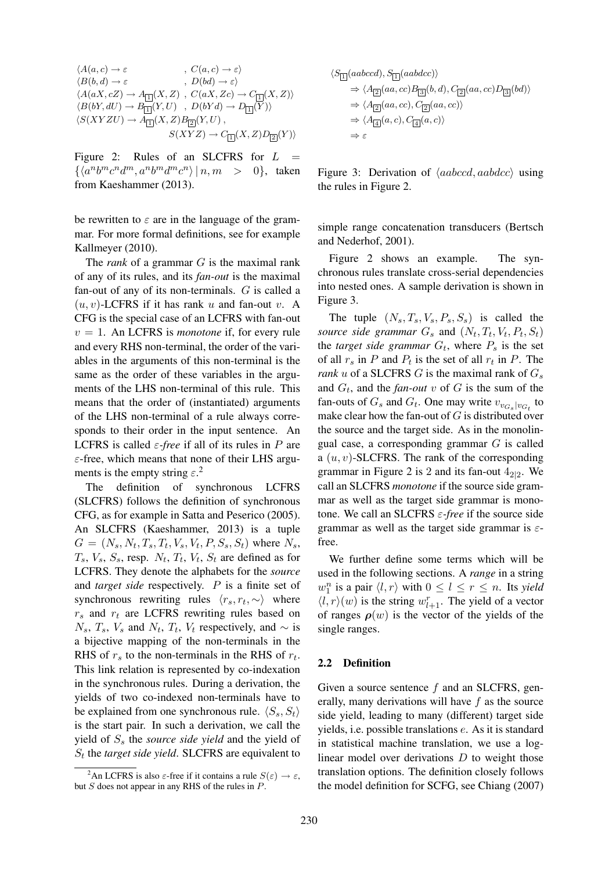$$
\langle A(a,c) \rightarrow \varepsilon , \quad C(a,c) \rightarrow \varepsilon \rangle
$$
  
\n
$$
\langle B(b,d) \rightarrow \varepsilon , \quad D(bd) \rightarrow \varepsilon \rangle
$$
  
\n
$$
\langle A(aX,cZ) \rightarrow A_{\Box}(X,Z) , \quad C(aX,Zc) \rightarrow C_{\Box}(X,Z) \rangle
$$
  
\n
$$
\langle B(bY,dU) \rightarrow B_{\Box}(Y,U) , \quad D(bYd) \rightarrow D_{\Box}(Y) \rangle
$$
  
\n
$$
\langle S(XYZU) \rightarrow A_{\Box}(X,Z)B_{\Box}(Y,U) , \quad S(XYZ) \rightarrow C_{\Box}(X,Z)D_{\Box}(Y) \rangle
$$

Figure 2: Rules of an SLCFRS for  $L =$  $\{\langle a^n b^m c^n d^m, a^n b^m d^m c^n \rangle \mid n, m > 0\},\$  taken from Kaeshammer (2013).

be rewritten to  $\varepsilon$  are in the language of the grammar. For more formal definitions, see for example Kallmeyer (2010).

The *rank* of a grammar G is the maximal rank of any of its rules, and its *fan-out* is the maximal fan-out of any of its non-terminals. G is called a  $(u, v)$ -LCFRS if it has rank u and fan-out v. A CFG is the special case of an LCFRS with fan-out  $v = 1$ . An LCFRS is *monotone* if, for every rule and every RHS non-terminal, the order of the variables in the arguments of this non-terminal is the same as the order of these variables in the arguments of the LHS non-terminal of this rule. This means that the order of (instantiated) arguments of the LHS non-terminal of a rule always corresponds to their order in the input sentence. An LCFRS is called  $\varepsilon$ -free if all of its rules in P are  $\varepsilon$ -free, which means that none of their LHS arguments is the empty string  $\varepsilon$ <sup>2</sup>.

The definition of synchronous LCFRS (SLCFRS) follows the definition of synchronous CFG, as for example in Satta and Peserico (2005). An SLCFRS (Kaeshammer, 2013) is a tuple  $G = (N_s, N_t, T_s, T_t, V_s, V_t, P, S_s, S_t)$  where  $N_s$ ,  $T_s$ ,  $V_s$ ,  $S_s$ , resp.  $N_t$ ,  $T_t$ ,  $V_t$ ,  $S_t$  are defined as for LCFRS. They denote the alphabets for the *source* and *target side* respectively. P is a finite set of synchronous rewriting rules  $\langle r_s, r_t, \sim \rangle$  where  $r<sub>s</sub>$  and  $r<sub>t</sub>$  are LCFRS rewriting rules based on  $N_s$ ,  $T_s$ ,  $V_s$  and  $N_t$ ,  $T_t$ ,  $V_t$  respectively, and  $\sim$  is a bijective mapping of the non-terminals in the RHS of  $r_s$  to the non-terminals in the RHS of  $r_t$ . This link relation is represented by co-indexation in the synchronous rules. During a derivation, the yields of two co-indexed non-terminals have to be explained from one synchronous rule.  $\langle S_s, S_t \rangle$ is the start pair. In such a derivation, we call the yield of S<sup>s</sup> the *source side yield* and the yield of  $S_t$  the *target side yield*. SLCFRS are equivalent to

$$
\langle S_{\boxed{1}}(aabcd), S_{\boxed{1}}(aabccc) \rangle
$$
  
\n
$$
\Rightarrow \langle A_{\boxed{2}}(aa, cc) B_{\boxed{3}}(b, d), C_{\boxed{2}}(aa, cc) D_{\boxed{3}}(bd) \rangle
$$
  
\n
$$
\Rightarrow \langle A_{\boxed{2}}(aa, cc), C_{\boxed{2}}(aa, cc) \rangle
$$
  
\n
$$
\Rightarrow \langle A_{\boxed{4}}(a, c), C_{\boxed{4}}(a, c) \rangle
$$
  
\n
$$
\Rightarrow \varepsilon
$$

Figure 3: Derivation of  $\langle aabcd, aabdcc \rangle$  using the rules in Figure 2.

simple range concatenation transducers (Bertsch and Nederhof, 2001).

Figure 2 shows an example. The synchronous rules translate cross-serial dependencies into nested ones. A sample derivation is shown in Figure 3.

The tuple  $(N_s, T_s, V_s, P_s, S_s)$  is called the source side grammar  $G_s$  and  $(N_t, T_t, V_t, P_t, S_t)$ the *target side grammar*  $G_t$ , where  $P_s$  is the set of all  $r_s$  in P and  $P_t$  is the set of all  $r_t$  in P. The *rank*  $u$  of a SLCFRS  $G$  is the maximal rank of  $G_s$ and  $G_t$ , and the *fan-out* v of G is the sum of the fan-outs of  $G_s$  and  $G_t$ . One may write  $v_{v_{G_s}|v_{G_t}}$  to make clear how the fan-out of  $G$  is distributed over the source and the target side. As in the monolingual case, a corresponding grammar G is called a  $(u, v)$ -SLCFRS. The rank of the corresponding grammar in Figure 2 is 2 and its fan-out  $4_{2|2}$ . We call an SLCFRS *monotone* if the source side grammar as well as the target side grammar is monotone. We call an SLCFRS ε*-free* if the source side grammar as well as the target side grammar is  $\varepsilon$ free.

We further define some terms which will be used in the following sections. A *range* in a string  $w_1^n$  is a pair  $\langle l, r \rangle$  with  $0 \le l \le r \le n$ . Its *yield*  $\langle l, r \rangle(w)$  is the string  $w_{l+1}^r$ . The yield of a vector of ranges  $\rho(w)$  is the vector of the yields of the single ranges.

#### 2.2 Definition

Given a source sentence f and an SLCFRS, generally, many derivations will have  $f$  as the source side yield, leading to many (different) target side yields, i.e. possible translations e. As it is standard in statistical machine translation, we use a loglinear model over derivations  $D$  to weight those translation options. The definition closely follows the model definition for SCFG, see Chiang (2007)

<sup>&</sup>lt;sup>2</sup>An LCFRS is also  $\varepsilon$ -free if it contains a rule  $S(\varepsilon) \to \varepsilon$ , but  $S$  does not appear in any RHS of the rules in  $P$ .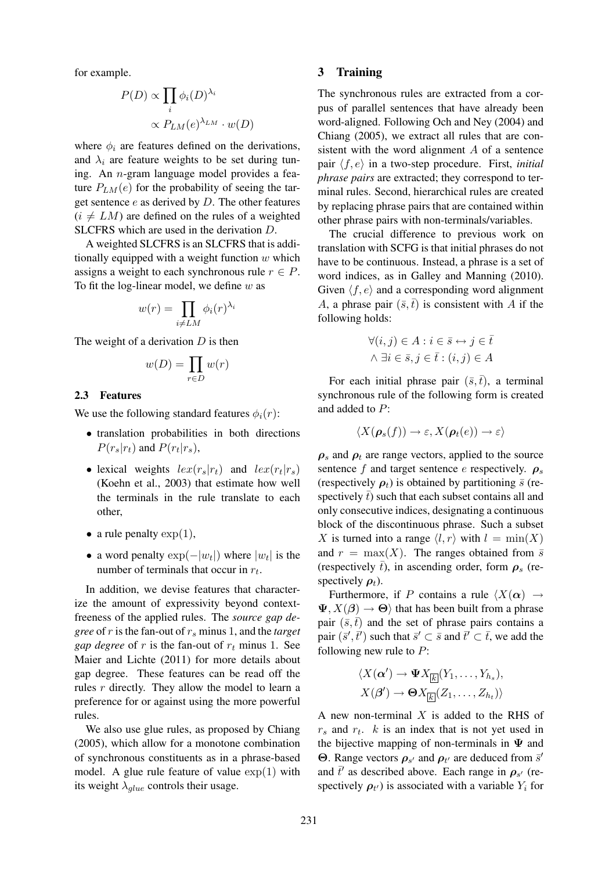for example.

$$
P(D) \propto \prod_i \phi_i(D)^{\lambda_i}
$$

$$
\propto P_{LM}(e)^{\lambda_{LM}} \cdot w(D)
$$

where  $\phi_i$  are features defined on the derivations, and  $\lambda_i$  are feature weights to be set during tuning. An n-gram language model provides a feature  $P_{LM}(e)$  for the probability of seeing the target sentence  $e$  as derived by  $D$ . The other features  $(i \neq LM)$  are defined on the rules of a weighted SLCFRS which are used in the derivation D.

A weighted SLCFRS is an SLCFRS that is additionally equipped with a weight function  $w$  which assigns a weight to each synchronous rule  $r \in P$ . To fit the log-linear model, we define  $w$  as

$$
w(r) = \prod_{i \neq LM} \phi_i(r)^{\lambda_i}
$$

The weight of a derivation  $D$  is then

$$
w(D) = \prod_{r \in D} w(r)
$$

#### 2.3 Features

We use the following standard features  $\phi_i(r)$ :

- translation probabilities in both directions  $P(r_s|r_t)$  and  $P(r_t|r_s)$ ,
- lexical weights  $lex(r_s|r_t)$  and  $lex(r_t|r_s)$ (Koehn et al., 2003) that estimate how well the terminals in the rule translate to each other,
- a rule penalty  $\exp(1)$ ,
- a word penalty  $\exp(-|w_t|)$  where  $|w_t|$  is the number of terminals that occur in  $r_t$ .

In addition, we devise features that characterize the amount of expressivity beyond contextfreeness of the applied rules. The *source gap degree* of r is the fan-out of  $r_s$  minus 1, and the *target gap degree* of r is the fan-out of  $r_t$  minus 1. See Maier and Lichte (2011) for more details about gap degree. These features can be read off the rules r directly. They allow the model to learn a preference for or against using the more powerful rules.

We also use glue rules, as proposed by Chiang (2005), which allow for a monotone combination of synchronous constituents as in a phrase-based model. A glue rule feature of value  $\exp(1)$  with its weight  $\lambda_{glue}$  controls their usage.

#### 3 Training

The synchronous rules are extracted from a corpus of parallel sentences that have already been word-aligned. Following Och and Ney (2004) and Chiang (2005), we extract all rules that are consistent with the word alignment A of a sentence pair  $\langle f, e \rangle$  in a two-step procedure. First, *initial phrase pairs* are extracted; they correspond to terminal rules. Second, hierarchical rules are created by replacing phrase pairs that are contained within other phrase pairs with non-terminals/variables.

The crucial difference to previous work on translation with SCFG is that initial phrases do not have to be continuous. Instead, a phrase is a set of word indices, as in Galley and Manning (2010). Given  $\langle f, e \rangle$  and a corresponding word alignment A, a phrase pair  $(\bar{s}, \bar{t})$  is consistent with A if the following holds:

$$
\forall (i, j) \in A : i \in \bar{s} \leftrightarrow j \in \bar{t}
$$

$$
\land \exists i \in \bar{s}, j \in \bar{t} : (i, j) \in A
$$

For each initial phrase pair  $(\bar{s}, \bar{t})$ , a terminal synchronous rule of the following form is created and added to P:

$$
\langle X(\boldsymbol{\rho}_s(f)) \to \varepsilon, X(\boldsymbol{\rho}_t(e)) \to \varepsilon \rangle
$$

 $\rho_s$  and  $\rho_t$  are range vectors, applied to the source sentence f and target sentence e respectively.  $\rho_s$ (respectively  $\rho_t$ ) is obtained by partitioning  $\bar{s}$  (respectively  $\bar{t}$ ) such that each subset contains all and only consecutive indices, designating a continuous block of the discontinuous phrase. Such a subset X is turned into a range  $\langle l, r \rangle$  with  $l = \min(X)$ and  $r = \max(X)$ . The ranges obtained from  $\bar{s}$ (respectively  $\bar{t}$ ), in ascending order, form  $\rho_s$  (respectively  $\rho_t$ ).

Furthermore, if P contains a rule  $\langle X(\alpha) \rangle \rightarrow$  $\Psi, X(\beta) \to \Theta$  that has been built from a phrase pair  $(\bar{s}, \bar{t})$  and the set of phrase pairs contains a pair  $(\bar{s}', \bar{t}')$  such that  $\bar{s}' \subset \bar{s}$  and  $\bar{t}' \subset \bar{t}$ , we add the following new rule to  $P$ :

$$
\langle X(\boldsymbol{\alpha}') \to \boldsymbol{\Psi} X_{\fbox{\scriptsize$\fbox{E}$}}(Y_1,\ldots,Y_{h_s}),
$$
  

$$
X(\boldsymbol{\beta}') \to \boldsymbol{\Theta} X_{\fbox{\scriptsize$\fbox{E}$}}(Z_1,\ldots,Z_{h_t})\rangle
$$

A new non-terminal  $X$  is added to the RHS of  $r_s$  and  $r_t$ .  $k$  is an index that is not yet used in the bijective mapping of non-terminals in  $\Psi$  and Θ. Range vectors  $ρ_{s'}$  and  $ρ_{t'}$  are deduced from  $\bar{s}'$ and  $\bar{t}'$  as described above. Each range in  $\rho_{s'}$  (respectively  $\rho_{t'}$ ) is associated with a variable  $Y_i$  for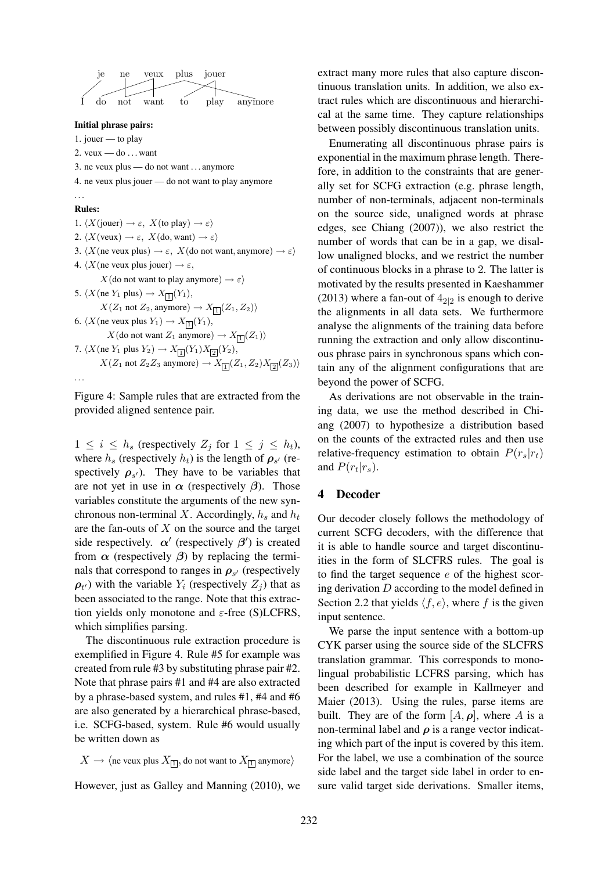je ne veux plus jouer I do not want to play anymore

#### Initial phrase pairs:

1. jouer — to play

2. veux  $-\text{do} \dots \text{want}$ 

- 3. ne veux plus do not want . . . anymore
- 4. ne veux plus jouer do not want to play anymore

#### . . .

Rules: 1.  $\langle X(\text{jouer}) \rightarrow \varepsilon, X(\text{to play}) \rightarrow \varepsilon \rangle$ 2.  $\langle X(\text{veux}) \rightarrow \varepsilon, X(\text{do}, \text{want}) \rightarrow \varepsilon \rangle$ 3.  $\langle X$ (ne veux plus)  $\rightarrow \varepsilon$ ,  $X$ (do not want, anymore)  $\rightarrow \varepsilon$ ) 4.  $\langle X$ (ne veux plus jouer)  $\rightarrow \varepsilon$ ,  $X$ (do not want to play anymore)  $\rightarrow \varepsilon$ ) 5.  $\langle X$ (ne  $Y_1$  plus)  $\to X_{\boxed{1}}(Y_1)$ ,  $X(Z_1 \text{ not } Z_2, \text{anymore}) \rightarrow X_{\boxed{1}}(Z_1, Z_2)$ 6.  $\langle X$ (ne veux plus  $Y_1 \rangle \rightarrow X_{\boxed{1}}(Y_1)$ ,  $X(\text{do not want } Z_1 \text{ anymore}) \to X_{\boxed{1}}(Z_1)$ 7.  $\langle X$ (ne  $Y_1$  plus  $Y_2 \rangle \rightarrow X_{\boxed{1}}(Y_1)X_{\boxed{2}}(Y_2),$  $X(Z_1 \text{ not } Z_2 Z_3 \text{ anymore}) \rightarrow X_{1}(Z_1, Z_2)X_{2}(Z_3)$ . . .

Figure 4: Sample rules that are extracted from the provided aligned sentence pair.

 $1 \leq i \leq h_s$  (respectively  $Z_j$  for  $1 \leq j \leq h_t$ ), where  $h_s$  (respectively  $h_t$ ) is the length of  $\rho_{s'}$  (respectively  $\rho_{s'}$ ). They have to be variables that are not yet in use in  $\alpha$  (respectively  $\beta$ ). Those variables constitute the arguments of the new synchronous non-terminal X. Accordingly,  $h_s$  and  $h_t$ are the fan-outs of  $X$  on the source and the target side respectively.  $\alpha'$  (respectively  $\beta'$ ) is created from  $\alpha$  (respectively  $\beta$ ) by replacing the terminals that correspond to ranges in  $\rho_{s'}$  (respectively  $\rho_{t'}$ ) with the variable  $Y_i$  (respectively  $Z_j$ ) that as been associated to the range. Note that this extraction yields only monotone and  $\varepsilon$ -free (S)LCFRS, which simplifies parsing.

The discontinuous rule extraction procedure is exemplified in Figure 4. Rule #5 for example was created from rule #3 by substituting phrase pair #2. Note that phrase pairs #1 and #4 are also extracted by a phrase-based system, and rules #1, #4 and #6 are also generated by a hierarchical phrase-based, i.e. SCFG-based, system. Rule #6 would usually be written down as

$$
X \to \langle
$$
ne veux plus  $X_{\overline{11}}$ , do not want to  $X_{\overline{11}}$  anymore $\rangle$ 

However, just as Galley and Manning (2010), we

extract many more rules that also capture discontinuous translation units. In addition, we also extract rules which are discontinuous and hierarchical at the same time. They capture relationships between possibly discontinuous translation units.

Enumerating all discontinuous phrase pairs is exponential in the maximum phrase length. Therefore, in addition to the constraints that are generally set for SCFG extraction (e.g. phrase length, number of non-terminals, adjacent non-terminals on the source side, unaligned words at phrase edges, see Chiang (2007)), we also restrict the number of words that can be in a gap, we disallow unaligned blocks, and we restrict the number of continuous blocks in a phrase to 2. The latter is motivated by the results presented in Kaeshammer (2013) where a fan-out of  $4_{2|2}$  is enough to derive the alignments in all data sets. We furthermore analyse the alignments of the training data before running the extraction and only allow discontinuous phrase pairs in synchronous spans which contain any of the alignment configurations that are beyond the power of SCFG.

As derivations are not observable in the training data, we use the method described in Chiang (2007) to hypothesize a distribution based on the counts of the extracted rules and then use relative-frequency estimation to obtain  $P(r_s|r_t)$ and  $P(r_t|r_s)$ .

#### 4 Decoder

Our decoder closely follows the methodology of current SCFG decoders, with the difference that it is able to handle source and target discontinuities in the form of SLCFRS rules. The goal is to find the target sequence  $e$  of the highest scoring derivation D according to the model defined in Section 2.2 that yields  $\langle f, e \rangle$ , where f is the given input sentence.

We parse the input sentence with a bottom-up CYK parser using the source side of the SLCFRS translation grammar. This corresponds to monolingual probabilistic LCFRS parsing, which has been described for example in Kallmeyer and Maier (2013). Using the rules, parse items are built. They are of the form  $[A, \rho]$ , where A is a non-terminal label and  $\rho$  is a range vector indicating which part of the input is covered by this item. For the label, we use a combination of the source side label and the target side label in order to ensure valid target side derivations. Smaller items,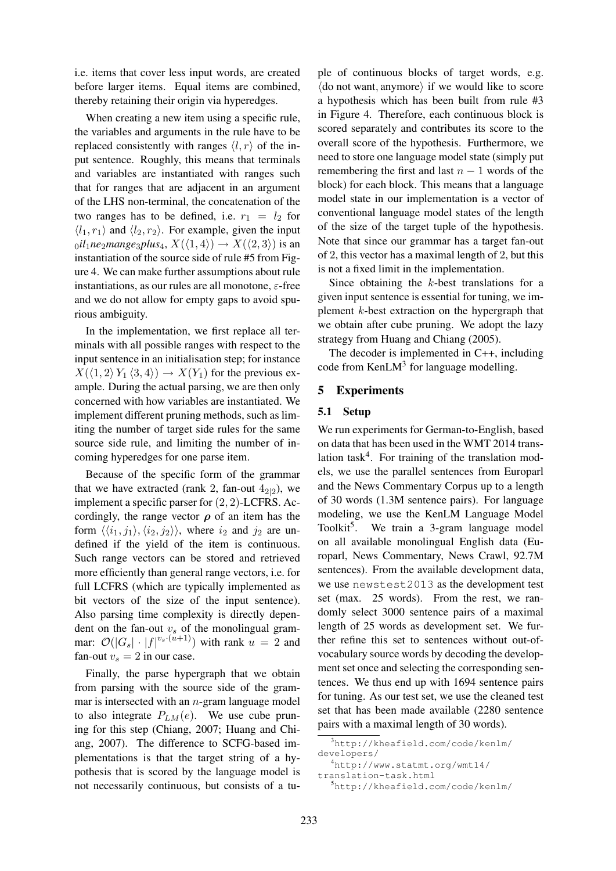i.e. items that cover less input words, are created before larger items. Equal items are combined, thereby retaining their origin via hyperedges.

When creating a new item using a specific rule, the variables and arguments in the rule have to be replaced consistently with ranges  $\langle l, r \rangle$  of the input sentence. Roughly, this means that terminals and variables are instantiated with ranges such that for ranges that are adjacent in an argument of the LHS non-terminal, the concatenation of the two ranges has to be defined, i.e.  $r_1 = l_2$  for  $\langle l_1, r_1 \rangle$  and  $\langle l_2, r_2 \rangle$ . For example, given the input  $_0$ *il*<sub>1</sub>*ne*<sub>2</sub>*mange*<sub>3</sub>*plus*<sub>4</sub>,  $X(\langle 1, 4 \rangle) \rightarrow X(\langle 2, 3 \rangle)$  is an instantiation of the source side of rule #5 from Figure 4. We can make further assumptions about rule instantiations, as our rules are all monotone,  $\varepsilon$ -free and we do not allow for empty gaps to avoid spurious ambiguity.

In the implementation, we first replace all terminals with all possible ranges with respect to the input sentence in an initialisation step; for instance  $X(\langle 1, 2 \rangle Y_1 \langle 3, 4 \rangle) \rightarrow X(Y_1)$  for the previous example. During the actual parsing, we are then only concerned with how variables are instantiated. We implement different pruning methods, such as limiting the number of target side rules for the same source side rule, and limiting the number of incoming hyperedges for one parse item.

Because of the specific form of the grammar that we have extracted (rank 2, fan-out  $4_{2|2}$ ), we implement a specific parser for (2, 2)-LCFRS. Accordingly, the range vector  $\rho$  of an item has the form  $\langle \langle i_1, j_1 \rangle, \langle i_2, j_2 \rangle \rangle$ , where  $i_2$  and  $j_2$  are undefined if the yield of the item is continuous. Such range vectors can be stored and retrieved more efficiently than general range vectors, i.e. for full LCFRS (which are typically implemented as bit vectors of the size of the input sentence). Also parsing time complexity is directly dependent on the fan-out  $v<sub>s</sub>$  of the monolingual grammar:  $\mathcal{O}(|G_s| \cdot |f|^{v_s \cdot (u+1)})$  with rank  $u = 2$  and fan-out  $v_s = 2$  in our case.

Finally, the parse hypergraph that we obtain from parsing with the source side of the grammar is intersected with an  $n$ -gram language model to also integrate  $P_{LM}(e)$ . We use cube pruning for this step (Chiang, 2007; Huang and Chiang, 2007). The difference to SCFG-based implementations is that the target string of a hypothesis that is scored by the language model is not necessarily continuous, but consists of a tuple of continuous blocks of target words, e.g.  $\langle$  do not want, anymore $\rangle$  if we would like to score a hypothesis which has been built from rule #3 in Figure 4. Therefore, each continuous block is scored separately and contributes its score to the overall score of the hypothesis. Furthermore, we need to store one language model state (simply put remembering the first and last  $n - 1$  words of the block) for each block. This means that a language model state in our implementation is a vector of conventional language model states of the length of the size of the target tuple of the hypothesis. Note that since our grammar has a target fan-out of 2, this vector has a maximal length of 2, but this is not a fixed limit in the implementation.

Since obtaining the  $k$ -best translations for a given input sentence is essential for tuning, we implement k-best extraction on the hypergraph that we obtain after cube pruning. We adopt the lazy strategy from Huang and Chiang (2005).

The decoder is implemented in C++, including code from KenL $M<sup>3</sup>$  for language modelling.

### 5 Experiments

### 5.1 Setup

We run experiments for German-to-English, based on data that has been used in the WMT 2014 translation task<sup>4</sup>. For training of the translation models, we use the parallel sentences from Europarl and the News Commentary Corpus up to a length of 30 words (1.3M sentence pairs). For language modeling, we use the KenLM Language Model Toolkit<sup>5</sup>. We train a 3-gram language model on all available monolingual English data (Europarl, News Commentary, News Crawl, 92.7M sentences). From the available development data, we use newstest2013 as the development test set (max. 25 words). From the rest, we randomly select 3000 sentence pairs of a maximal length of 25 words as development set. We further refine this set to sentences without out-ofvocabulary source words by decoding the development set once and selecting the corresponding sentences. We thus end up with 1694 sentence pairs for tuning. As our test set, we use the cleaned test set that has been made available (2280 sentence pairs with a maximal length of 30 words).

```
translation-task.html
```
<sup>3</sup>http://kheafield.com/code/kenlm/ developers/

<sup>4</sup>http://www.statmt.org/wmt14/

<sup>5</sup>http://kheafield.com/code/kenlm/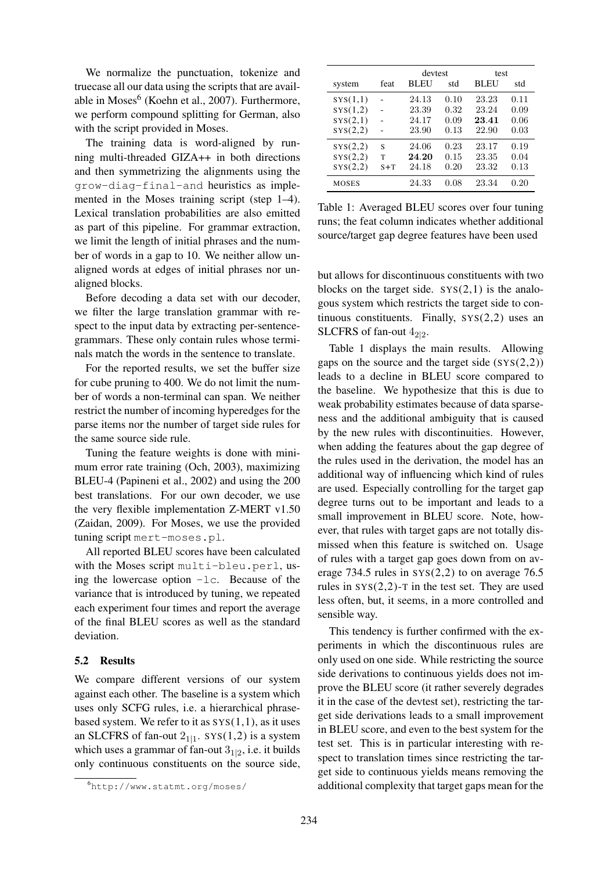We normalize the punctuation, tokenize and truecase all our data using the scripts that are available in Moses<sup>6</sup> (Koehn et al., 2007). Furthermore, we perform compound splitting for German, also with the script provided in Moses.

The training data is word-aligned by running multi-threaded GIZA++ in both directions and then symmetrizing the alignments using the grow-diag-final-and heuristics as implemented in the Moses training script (step 1–4). Lexical translation probabilities are also emitted as part of this pipeline. For grammar extraction, we limit the length of initial phrases and the number of words in a gap to 10. We neither allow unaligned words at edges of initial phrases nor unaligned blocks.

Before decoding a data set with our decoder, we filter the large translation grammar with respect to the input data by extracting per-sentencegrammars. These only contain rules whose terminals match the words in the sentence to translate.

For the reported results, we set the buffer size for cube pruning to 400. We do not limit the number of words a non-terminal can span. We neither restrict the number of incoming hyperedges for the parse items nor the number of target side rules for the same source side rule.

Tuning the feature weights is done with minimum error rate training (Och, 2003), maximizing BLEU-4 (Papineni et al., 2002) and using the 200 best translations. For our own decoder, we use the very flexible implementation Z-MERT v1.50 (Zaidan, 2009). For Moses, we use the provided tuning script mert-moses.pl.

All reported BLEU scores have been calculated with the Moses script multi-bleu.perl, using the lowercase option  $-1c$ . Because of the variance that is introduced by tuning, we repeated each experiment four times and report the average of the final BLEU scores as well as the standard deviation.

#### 5.2 Results

We compare different versions of our system against each other. The baseline is a system which uses only SCFG rules, i.e. a hierarchical phrasebased system. We refer to it as  $SYS(1,1)$ , as it uses an SLCFRS of fan-out  $2_{1|1}$ . SYS(1,2) is a system which uses a grammar of fan-out  $3_{1|2}$ , i.e. it builds only continuous constituents on the source side,

|              |       | devtest     |      | test  |      |
|--------------|-------|-------------|------|-------|------|
| system       | feat  | <b>BLEU</b> | std  | BLEU  | std  |
| SYS(1,1)     |       | 24.13       | 0.10 | 23.23 | 0.11 |
| SYS(1,2)     |       | 23.39       | 0.32 | 23.24 | 0.09 |
| SYS(2,1)     |       | 24.17       | 0.09 | 23.41 | 0.06 |
| SYS(2,2)     |       | 23.90       | 0.13 | 22.90 | 0.03 |
| SYS(2,2)     | S     | 24.06       | 0.23 | 23.17 | 0.19 |
| SYS(2,2)     | т     | 24.20       | 0.15 | 23.35 | 0.04 |
| SYS(2,2)     | $S+T$ | 24.18       | 0.20 | 23.32 | 0.13 |
| <b>MOSES</b> |       | 24.33       | 0.08 | 23.34 | 0.20 |

Table 1: Averaged BLEU scores over four tuning runs; the feat column indicates whether additional source/target gap degree features have been used

but allows for discontinuous constituents with two blocks on the target side.  $SYS(2,1)$  is the analogous system which restricts the target side to continuous constituents. Finally, SYS(2,2) uses an SLCFRS of fan-out  $4_{2|2}$ .

Table 1 displays the main results. Allowing gaps on the source and the target side  $(SYS(2,2))$ leads to a decline in BLEU score compared to the baseline. We hypothesize that this is due to weak probability estimates because of data sparseness and the additional ambiguity that is caused by the new rules with discontinuities. However, when adding the features about the gap degree of the rules used in the derivation, the model has an additional way of influencing which kind of rules are used. Especially controlling for the target gap degree turns out to be important and leads to a small improvement in BLEU score. Note, however, that rules with target gaps are not totally dismissed when this feature is switched on. Usage of rules with a target gap goes down from on average 734.5 rules in  $SYS(2,2)$  to on average 76.5 rules in  $SYS(2,2)$ -T in the test set. They are used less often, but, it seems, in a more controlled and sensible way.

This tendency is further confirmed with the experiments in which the discontinuous rules are only used on one side. While restricting the source side derivations to continuous yields does not improve the BLEU score (it rather severely degrades it in the case of the devtest set), restricting the target side derivations leads to a small improvement in BLEU score, and even to the best system for the test set. This is in particular interesting with respect to translation times since restricting the target side to continuous yields means removing the additional complexity that target gaps mean for the

<sup>6</sup>http://www.statmt.org/moses/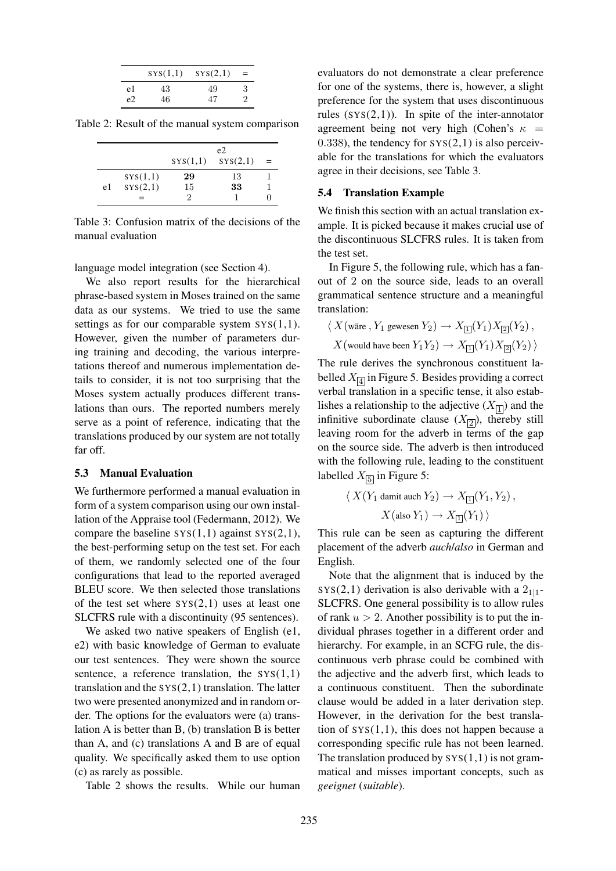|    | SYS(1,1) | SYS(2,1) | $=$ |
|----|----------|----------|-----|
| e1 | 43       | 49       | З   |
| e2 | 46       | 47       |     |

Table 2: Result of the manual system comparison

|    |          | e <sub>2</sub> |          |     |  |
|----|----------|----------------|----------|-----|--|
|    |          | SYS(1,1)       | SYS(2,1) | $=$ |  |
|    | SYS(1,1) | 29             | 13       |     |  |
| e1 | SYS(2,1) | 15             | 33       |     |  |
|    |          | 2              |          |     |  |

Table 3: Confusion matrix of the decisions of the manual evaluation

language model integration (see Section 4).

We also report results for the hierarchical phrase-based system in Moses trained on the same data as our systems. We tried to use the same settings as for our comparable system  $SYS(1,1)$ . However, given the number of parameters during training and decoding, the various interpretations thereof and numerous implementation details to consider, it is not too surprising that the Moses system actually produces different translations than ours. The reported numbers merely serve as a point of reference, indicating that the translations produced by our system are not totally far off.

#### 5.3 Manual Evaluation

We furthermore performed a manual evaluation in form of a system comparison using our own installation of the Appraise tool (Federmann, 2012). We compare the baseline  $SVS(1,1)$  against  $SVS(2,1)$ , the best-performing setup on the test set. For each of them, we randomly selected one of the four configurations that lead to the reported averaged BLEU score. We then selected those translations of the test set where  $SYS(2,1)$  uses at least one SLCFRS rule with a discontinuity (95 sentences).

We asked two native speakers of English (e1, e2) with basic knowledge of German to evaluate our test sentences. They were shown the source sentence, a reference translation, the  $sys(1,1)$ translation and the  $SYS(2,1)$  translation. The latter two were presented anonymized and in random order. The options for the evaluators were (a) translation A is better than B, (b) translation B is better than A, and (c) translations A and B are of equal quality. We specifically asked them to use option (c) as rarely as possible.

Table 2 shows the results. While our human

evaluators do not demonstrate a clear preference for one of the systems, there is, however, a slight preference for the system that uses discontinuous rules  $(SYS(2,1))$ . In spite of the inter-annotator agreement being not very high (Cohen's  $\kappa$  =  $(0.338)$ , the tendency for  $SYS(2,1)$  is also perceivable for the translations for which the evaluators agree in their decisions, see Table 3.

#### 5.4 Translation Example

We finish this section with an actual translation example. It is picked because it makes crucial use of the discontinuous SLCFRS rules. It is taken from the test set.

In Figure 5, the following rule, which has a fanout of 2 on the source side, leads to an overall grammatical sentence structure and a meaningful translation:

$$
\langle\,X(\text{wire}\, ,Y_1\,\text{gewesen}\,Y_2)\rightarrow X_{[\underline{1}]}(Y_1)X_{[\underline{2}]}(Y_2)\, ,
$$

$$
X(\text{would have been } Y_1 Y_2) \to X_{\text{II}}(Y_1) X_{\text{II}}(Y_2)
$$

The rule derives the synchronous constituent labelled  $X_{\boxed{4}}$  in Figure 5. Besides providing a correct verbal translation in a specific tense, it also establishes a relationship to the adjective  $(X_{\boxed{1}})$  and the infinitive subordinate clause  $(X_{\boxed{2}})$ , thereby still leaving room for the adverb in terms of the gap on the source side. The adverb is then introduced with the following rule, leading to the constituent labelled  $X_{\boxed{5}}$  in Figure 5:

$$
\langle X(Y_1 \text{ damit auch } Y_2) \to X_{\square}(Y_1, Y_2),
$$
  

$$
X(\text{also } Y_1) \to X_{\square}(Y_1) \rangle
$$

This rule can be seen as capturing the different placement of the adverb *auch*/*also* in German and English.

Note that the alignment that is induced by the  $SYS(2,1)$  derivation is also derivable with a  $2_{1|1}$ -SLCFRS. One general possibility is to allow rules of rank  $u > 2$ . Another possibility is to put the individual phrases together in a different order and hierarchy. For example, in an SCFG rule, the discontinuous verb phrase could be combined with the adjective and the adverb first, which leads to a continuous constituent. Then the subordinate clause would be added in a later derivation step. However, in the derivation for the best translation of  $SYS(1,1)$ , this does not happen because a corresponding specific rule has not been learned. The translation produced by  $SYS(1,1)$  is not grammatical and misses important concepts, such as *geeignet* (*suitable*).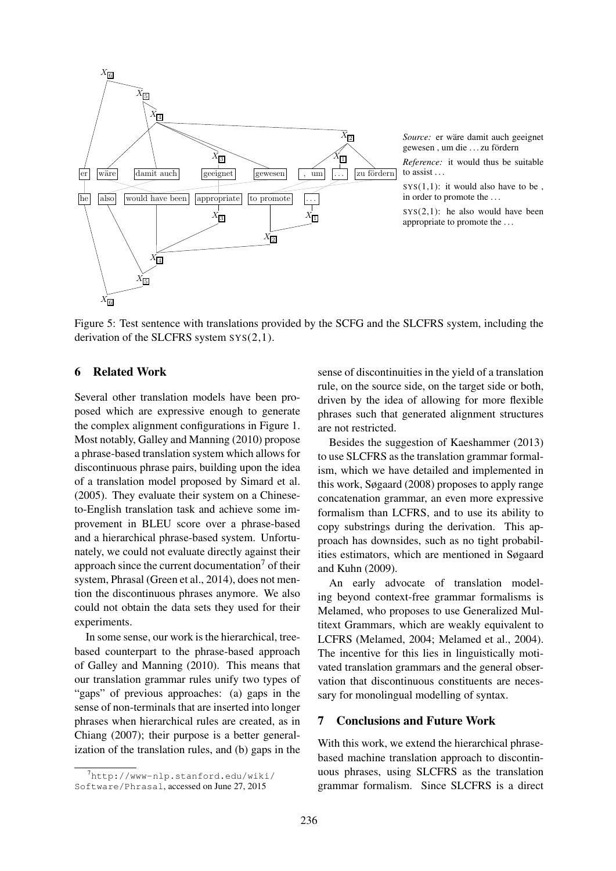

*Source:* er wäre damit auch geeignet gewesen, um die ... zu fördern

*Reference:* it would thus be suitable to assist . . .

 $SYS(1,1)$ : it would also have to be. in order to promote the . . .

 $SYS(2,1)$ : he also would have been appropriate to promote the . . .

Figure 5: Test sentence with translations provided by the SCFG and the SLCFRS system, including the derivation of the SLCFRS system  $sys(2,1)$ .

### 6 Related Work

Several other translation models have been proposed which are expressive enough to generate the complex alignment configurations in Figure 1. Most notably, Galley and Manning (2010) propose a phrase-based translation system which allows for discontinuous phrase pairs, building upon the idea of a translation model proposed by Simard et al. (2005). They evaluate their system on a Chineseto-English translation task and achieve some improvement in BLEU score over a phrase-based and a hierarchical phrase-based system. Unfortunately, we could not evaluate directly against their approach since the current documentation<sup>7</sup> of their system, Phrasal (Green et al., 2014), does not mention the discontinuous phrases anymore. We also could not obtain the data sets they used for their experiments.

In some sense, our work is the hierarchical, treebased counterpart to the phrase-based approach of Galley and Manning (2010). This means that our translation grammar rules unify two types of "gaps" of previous approaches: (a) gaps in the sense of non-terminals that are inserted into longer phrases when hierarchical rules are created, as in Chiang (2007); their purpose is a better generalization of the translation rules, and (b) gaps in the sense of discontinuities in the yield of a translation rule, on the source side, on the target side or both, driven by the idea of allowing for more flexible phrases such that generated alignment structures are not restricted.

Besides the suggestion of Kaeshammer (2013) to use SLCFRS as the translation grammar formalism, which we have detailed and implemented in this work, Søgaard (2008) proposes to apply range concatenation grammar, an even more expressive formalism than LCFRS, and to use its ability to copy substrings during the derivation. This approach has downsides, such as no tight probabilities estimators, which are mentioned in Søgaard and Kuhn (2009).

An early advocate of translation modeling beyond context-free grammar formalisms is Melamed, who proposes to use Generalized Multitext Grammars, which are weakly equivalent to LCFRS (Melamed, 2004; Melamed et al., 2004). The incentive for this lies in linguistically motivated translation grammars and the general observation that discontinuous constituents are necessary for monolingual modelling of syntax.

### 7 Conclusions and Future Work

With this work, we extend the hierarchical phrasebased machine translation approach to discontinuous phrases, using SLCFRS as the translation grammar formalism. Since SLCFRS is a direct

 $^{7}$ http://www-nlp.stanford.edu/wiki/ Software/Phrasal, accessed on June 27, 2015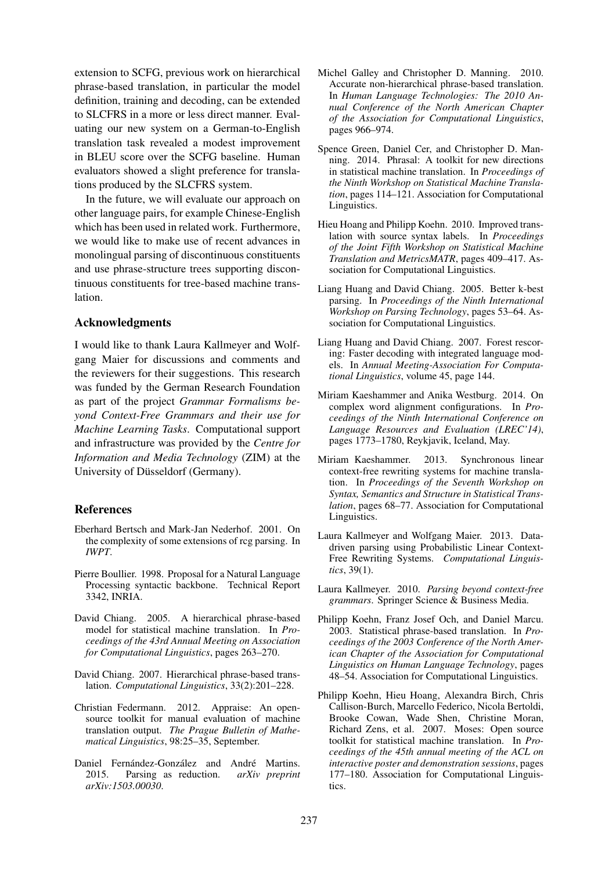extension to SCFG, previous work on hierarchical phrase-based translation, in particular the model definition, training and decoding, can be extended to SLCFRS in a more or less direct manner. Evaluating our new system on a German-to-English translation task revealed a modest improvement in BLEU score over the SCFG baseline. Human evaluators showed a slight preference for translations produced by the SLCFRS system.

In the future, we will evaluate our approach on other language pairs, for example Chinese-English which has been used in related work. Furthermore, we would like to make use of recent advances in monolingual parsing of discontinuous constituents and use phrase-structure trees supporting discontinuous constituents for tree-based machine translation.

#### Acknowledgments

I would like to thank Laura Kallmeyer and Wolfgang Maier for discussions and comments and the reviewers for their suggestions. This research was funded by the German Research Foundation as part of the project *Grammar Formalisms beyond Context-Free Grammars and their use for Machine Learning Tasks*. Computational support and infrastructure was provided by the *Centre for Information and Media Technology* (ZIM) at the University of Düsseldorf (Germany).

#### References

- Eberhard Bertsch and Mark-Jan Nederhof. 2001. On the complexity of some extensions of rcg parsing. In *IWPT*.
- Pierre Boullier. 1998. Proposal for a Natural Language Processing syntactic backbone. Technical Report 3342, INRIA.
- David Chiang. 2005. A hierarchical phrase-based model for statistical machine translation. In *Proceedings of the 43rd Annual Meeting on Association for Computational Linguistics*, pages 263–270.
- David Chiang. 2007. Hierarchical phrase-based translation. *Computational Linguistics*, 33(2):201–228.
- Christian Federmann. 2012. Appraise: An opensource toolkit for manual evaluation of machine translation output. *The Prague Bulletin of Mathematical Linguistics*, 98:25–35, September.
- Daniel Fernández-González and André Martins. 2015. Parsing as reduction. *arXiv preprint arXiv:1503.00030*.
- Michel Galley and Christopher D. Manning. 2010. Accurate non-hierarchical phrase-based translation. In *Human Language Technologies: The 2010 Annual Conference of the North American Chapter of the Association for Computational Linguistics*, pages 966–974.
- Spence Green, Daniel Cer, and Christopher D. Manning. 2014. Phrasal: A toolkit for new directions in statistical machine translation. In *Proceedings of the Ninth Workshop on Statistical Machine Translation*, pages 114–121. Association for Computational Linguistics.
- Hieu Hoang and Philipp Koehn. 2010. Improved translation with source syntax labels. In *Proceedings of the Joint Fifth Workshop on Statistical Machine Translation and MetricsMATR*, pages 409–417. Association for Computational Linguistics.
- Liang Huang and David Chiang. 2005. Better k-best parsing. In *Proceedings of the Ninth International Workshop on Parsing Technology*, pages 53–64. Association for Computational Linguistics.
- Liang Huang and David Chiang. 2007. Forest rescoring: Faster decoding with integrated language models. In *Annual Meeting-Association For Computational Linguistics*, volume 45, page 144.
- Miriam Kaeshammer and Anika Westburg. 2014. On complex word alignment configurations. In *Proceedings of the Ninth International Conference on Language Resources and Evaluation (LREC'14)*, pages 1773–1780, Reykjavik, Iceland, May.
- Miriam Kaeshammer. 2013. Synchronous linear context-free rewriting systems for machine translation. In *Proceedings of the Seventh Workshop on Syntax, Semantics and Structure in Statistical Translation*, pages 68–77. Association for Computational Linguistics.
- Laura Kallmeyer and Wolfgang Maier. 2013. Datadriven parsing using Probabilistic Linear Context-Free Rewriting Systems. *Computational Linguistics*, 39(1).
- Laura Kallmeyer. 2010. *Parsing beyond context-free grammars*. Springer Science & Business Media.
- Philipp Koehn, Franz Josef Och, and Daniel Marcu. 2003. Statistical phrase-based translation. In *Proceedings of the 2003 Conference of the North American Chapter of the Association for Computational Linguistics on Human Language Technology*, pages 48–54. Association for Computational Linguistics.
- Philipp Koehn, Hieu Hoang, Alexandra Birch, Chris Callison-Burch, Marcello Federico, Nicola Bertoldi, Brooke Cowan, Wade Shen, Christine Moran, Richard Zens, et al. 2007. Moses: Open source toolkit for statistical machine translation. In *Proceedings of the 45th annual meeting of the ACL on interactive poster and demonstration sessions*, pages 177–180. Association for Computational Linguistics.